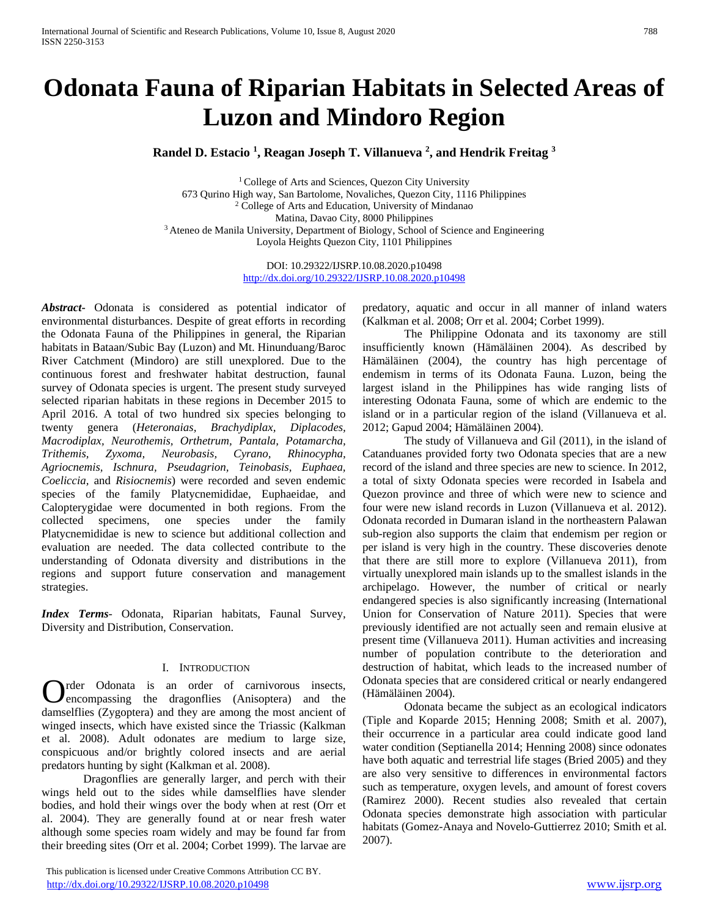# **Odonata Fauna of Riparian Habitats in Selected Areas of Luzon and Mindoro Region**

**Randel D. Estacio <sup>1</sup> , Reagan Joseph T. Villanueva <sup>2</sup> , and Hendrik Freitag <sup>3</sup>**

<sup>1</sup> College of Arts and Sciences, Quezon City University 673 Qurino High way, San Bartolome, Novaliches, Quezon City, 1116 Philippines <sup>2</sup> College of Arts and Education, University of Mindanao Matina, Davao City, 8000 Philippines <sup>3</sup> Ateneo de Manila University, Department of Biology, School of Science and Engineering Loyola Heights Quezon City, 1101 Philippines

> DOI: 10.29322/IJSRP.10.08.2020.p10498 <http://dx.doi.org/10.29322/IJSRP.10.08.2020.p10498>

*Abstract***-** Odonata is considered as potential indicator of environmental disturbances. Despite of great efforts in recording the Odonata Fauna of the Philippines in general, the Riparian habitats in Bataan/Subic Bay (Luzon) and Mt. Hinunduang/Baroc River Catchment (Mindoro) are still unexplored. Due to the continuous forest and freshwater habitat destruction, faunal survey of Odonata species is urgent. The present study surveyed selected riparian habitats in these regions in December 2015 to April 2016. A total of two hundred six species belonging to twenty genera (*Heteronaias, Brachydiplax, Diplacodes, Macrodiplax, Neurothemis, Orthetrum, Pantala, Potamarcha, Trithemis, Zyxoma, Neurobasis, Cyrano, Rhinocypha, Agriocnemis, Ischnura, Pseudagrion, Teinobasis, Euphaea, Coeliccia,* and *Risiocnemis*) were recorded and seven endemic species of the family Platycnemididae, Euphaeidae, and Calopterygidae were documented in both regions. From the collected specimens, one species under the family Platycnemididae is new to science but additional collection and evaluation are needed. The data collected contribute to the understanding of Odonata diversity and distributions in the regions and support future conservation and management strategies.

*Index Terms*- Odonata, Riparian habitats, Faunal Survey, Diversity and Distribution, Conservation.

## I. INTRODUCTION

rder Odonata is an order of carnivorous insects, encompassing the dragonflies (Anisoptera) and the **C** rder Odonata is an order of carnivorous insects, encompassing the dragonflies (Anisoptera) and the damselflies (Zygoptera) and they are among the most ancient of winged insects, which have existed since the Triassic (Kalkman et al. 2008). Adult odonates are medium to large size, conspicuous and/or brightly colored insects and are aerial predators hunting by sight (Kalkman et al. 2008).

Dragonflies are generally larger, and perch with their wings held out to the sides while damselflies have slender bodies, and hold their wings over the body when at rest (Orr et al. 2004). They are generally found at or near fresh water although some species roam widely and may be found far from their breeding sites (Orr et al. 2004; Corbet 1999). The larvae are

 This publication is licensed under Creative Commons Attribution CC BY. <http://dx.doi.org/10.29322/IJSRP.10.08.2020.p10498> [www.ijsrp.org](http://ijsrp.org/)

predatory, aquatic and occur in all manner of inland waters (Kalkman et al. 2008; Orr et al. 2004; Corbet 1999).

The Philippine Odonata and its taxonomy are still insufficiently known (Hämäläinen 2004). As described by Hämäläinen (2004), the country has high percentage of endemism in terms of its Odonata Fauna. Luzon, being the largest island in the Philippines has wide ranging lists of interesting Odonata Fauna, some of which are endemic to the island or in a particular region of the island (Villanueva et al. 2012; Gapud 2004; Hämäläinen 2004).

The study of Villanueva and Gil (2011), in the island of Catanduanes provided forty two Odonata species that are a new record of the island and three species are new to science. In 2012, a total of sixty Odonata species were recorded in Isabela and Quezon province and three of which were new to science and four were new island records in Luzon (Villanueva et al. 2012). Odonata recorded in Dumaran island in the northeastern Palawan sub-region also supports the claim that endemism per region or per island is very high in the country. These discoveries denote that there are still more to explore (Villanueva 2011), from virtually unexplored main islands up to the smallest islands in the archipelago. However, the number of critical or nearly endangered species is also significantly increasing (International Union for Conservation of Nature 2011). Species that were previously identified are not actually seen and remain elusive at present time (Villanueva 2011). Human activities and increasing number of population contribute to the deterioration and destruction of habitat, which leads to the increased number of Odonata species that are considered critical or nearly endangered (Hämäläinen 2004).

Odonata became the subject as an ecological indicators (Tiple and Koparde 2015; Henning 2008; Smith et al. 2007), their occurrence in a particular area could indicate good land water condition (Septianella 2014; Henning 2008) since odonates have both aquatic and terrestrial life stages (Bried 2005) and they are also very sensitive to differences in environmental factors such as temperature, oxygen levels, and amount of forest covers (Ramirez 2000). Recent studies also revealed that certain Odonata species demonstrate high association with particular habitats (Gomez-Anaya and Novelo-Guttierrez 2010; Smith et al. 2007).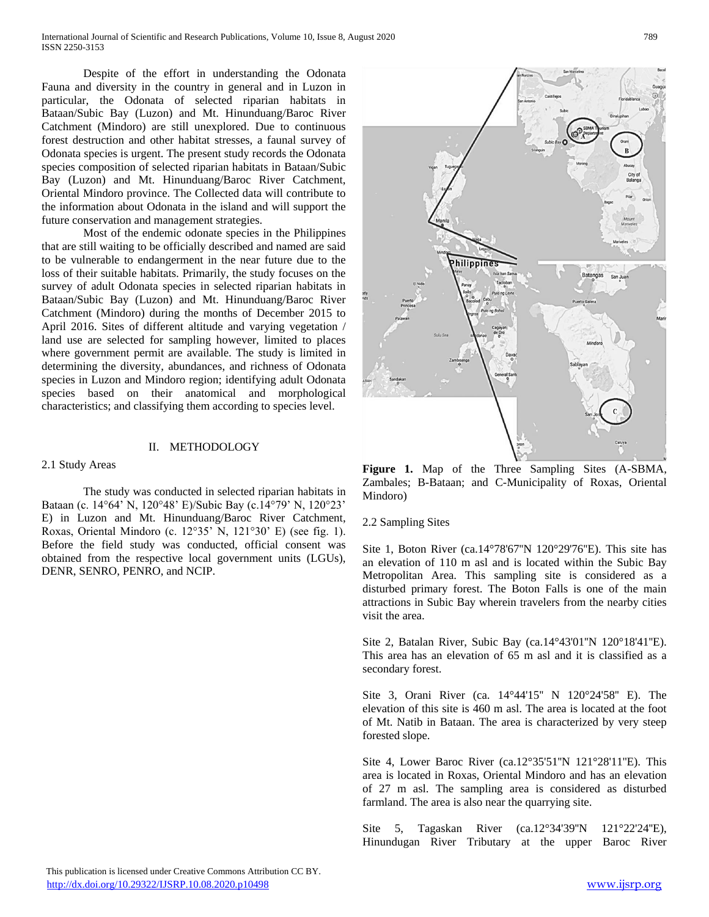Despite of the effort in understanding the Odonata Fauna and diversity in the country in general and in Luzon in particular, the Odonata of selected riparian habitats in Bataan/Subic Bay (Luzon) and Mt. Hinunduang/Baroc River Catchment (Mindoro) are still unexplored. Due to continuous forest destruction and other habitat stresses, a faunal survey of Odonata species is urgent. The present study records the Odonata species composition of selected riparian habitats in Bataan/Subic Bay (Luzon) and Mt. Hinunduang/Baroc River Catchment, Oriental Mindoro province. The Collected data will contribute to the information about Odonata in the island and will support the future conservation and management strategies.

Most of the endemic odonate species in the Philippines that are still waiting to be officially described and named are said to be vulnerable to endangerment in the near future due to the loss of their suitable habitats. Primarily, the study focuses on the survey of adult Odonata species in selected riparian habitats in Bataan/Subic Bay (Luzon) and Mt. Hinunduang/Baroc River Catchment (Mindoro) during the months of December 2015 to April 2016. Sites of different altitude and varying vegetation / land use are selected for sampling however, limited to places where government permit are available. The study is limited in determining the diversity, abundances, and richness of Odonata species in Luzon and Mindoro region; identifying adult Odonata species based on their anatomical and morphological characteristics; and classifying them according to species level.

# II. METHODOLOGY

#### 2.1 Study Areas

The study was conducted in selected riparian habitats in Bataan (c. 14°64' N, 120°48' E)/Subic Bay (c.14°79' N, 120°23' E) in Luzon and Mt. Hinunduang/Baroc River Catchment, Roxas, Oriental Mindoro (c. 12°35' N, 121°30' E) (see fig. 1). Before the field study was conducted, official consent was obtained from the respective local government units (LGUs), DENR, SENRO, PENRO, and NCIP.



**Figure 1.** Map of the Three Sampling Sites (A-SBMA, Zambales; B-Bataan; and C-Municipality of Roxas, Oriental Mindoro)

## 2.2 Sampling Sites

Site 1, Boton River (ca.14°78'67''N 120°29'76''E). This site has an elevation of 110 m asl and is located within the Subic Bay Metropolitan Area. This sampling site is considered as a disturbed primary forest. The Boton Falls is one of the main attractions in Subic Bay wherein travelers from the nearby cities visit the area.

Site 2, Batalan River, Subic Bay (ca.14°43'01''N 120°18'41''E). This area has an elevation of 65 m asl and it is classified as a secondary forest.

Site 3, Orani River (ca. 14°44'15'' N 120°24'58'' E). The elevation of this site is 460 m asl. The area is located at the foot of Mt. Natib in Bataan. The area is characterized by very steep forested slope.

Site 4, Lower Baroc River (ca.12°35'51''N 121°28'11''E). This area is located in Roxas, Oriental Mindoro and has an elevation of 27 m asl. The sampling area is considered as disturbed farmland. The area is also near the quarrying site.

Site 5, Tagaskan River (ca.12°34'39"N 121°22'24"E), Hinundugan River Tributary at the upper Baroc River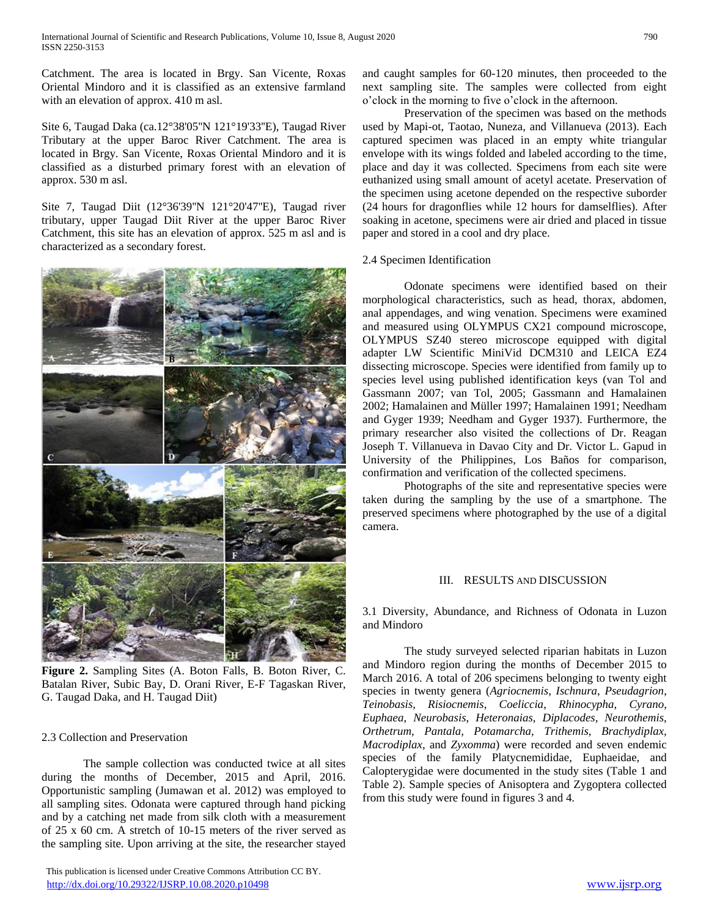Catchment. The area is located in Brgy. San Vicente, Roxas Oriental Mindoro and it is classified as an extensive farmland with an elevation of approx. 410 m asl.

Site 6, Taugad Daka (ca.12°38'05''N 121°19'33''E), Taugad River Tributary at the upper Baroc River Catchment. The area is located in Brgy. San Vicente, Roxas Oriental Mindoro and it is classified as a disturbed primary forest with an elevation of approx. 530 m asl.

Site 7, Taugad Diit (12°36'39''N 121°20'47''E), Taugad river tributary, upper Taugad Diit River at the upper Baroc River Catchment, this site has an elevation of approx. 525 m asl and is characterized as a secondary forest.



**Figure 2.** Sampling Sites (A. Boton Falls, B. Boton River, C. Batalan River, Subic Bay, D. Orani River, E-F Tagaskan River, G. Taugad Daka, and H. Taugad Diit)

## 2.3 Collection and Preservation

The sample collection was conducted twice at all sites during the months of December, 2015 and April, 2016. Opportunistic sampling (Jumawan et al. 2012) was employed to all sampling sites. Odonata were captured through hand picking and by a catching net made from silk cloth with a measurement of 25 x 60 cm. A stretch of 10-15 meters of the river served as the sampling site. Upon arriving at the site, the researcher stayed

 This publication is licensed under Creative Commons Attribution CC BY. <http://dx.doi.org/10.29322/IJSRP.10.08.2020.p10498> [www.ijsrp.org](http://ijsrp.org/)

and caught samples for 60-120 minutes, then proceeded to the next sampling site. The samples were collected from eight o'clock in the morning to five o'clock in the afternoon.

Preservation of the specimen was based on the methods used by Mapi-ot, Taotao, Nuneza, and Villanueva (2013). Each captured specimen was placed in an empty white triangular envelope with its wings folded and labeled according to the time, place and day it was collected. Specimens from each site were euthanized using small amount of acetyl acetate. Preservation of the specimen using acetone depended on the respective suborder (24 hours for dragonflies while 12 hours for damselflies). After soaking in acetone, specimens were air dried and placed in tissue paper and stored in a cool and dry place.

## 2.4 Specimen Identification

Odonate specimens were identified based on their morphological characteristics, such as head, thorax, abdomen, anal appendages, and wing venation. Specimens were examined and measured using OLYMPUS CX21 compound microscope, OLYMPUS SZ40 stereo microscope equipped with digital adapter LW Scientific MiniVid DCM310 and LEICA EZ4 dissecting microscope. Species were identified from family up to species level using published identification keys (van Tol and Gassmann 2007; van Tol, 2005; Gassmann and Hamalainen 2002; Hamalainen and Müller 1997; Hamalainen 1991; Needham and Gyger 1939; Needham and Gyger 1937). Furthermore, the primary researcher also visited the collections of Dr. Reagan Joseph T. Villanueva in Davao City and Dr. Victor L. Gapud in University of the Philippines, Los Baños for comparison, confirmation and verification of the collected specimens.

Photographs of the site and representative species were taken during the sampling by the use of a smartphone. The preserved specimens where photographed by the use of a digital camera.

## III. RESULTS AND DISCUSSION

3.1 Diversity, Abundance, and Richness of Odonata in Luzon and Mindoro

The study surveyed selected riparian habitats in Luzon and Mindoro region during the months of December 2015 to March 2016. A total of 206 specimens belonging to twenty eight species in twenty genera (*Agriocnemis*, *Ischnura*, *Pseudagrion*, *Teinobasis*, *Risiocnemis*, *Coeliccia*, *Rhinocypha*, *Cyrano*, *Euphaea*, *Neurobasis*, *Heteronaias*, *Diplacodes, Neurothemis, Orthetrum, Pantala, Potamarcha, Trithemis, Brachydiplax, Macrodiplax,* and *Zyxomma*) were recorded and seven endemic species of the family Platycnemididae, Euphaeidae, and Calopterygidae were documented in the study sites (Table 1 and Table 2). Sample species of Anisoptera and Zygoptera collected from this study were found in figures 3 and 4.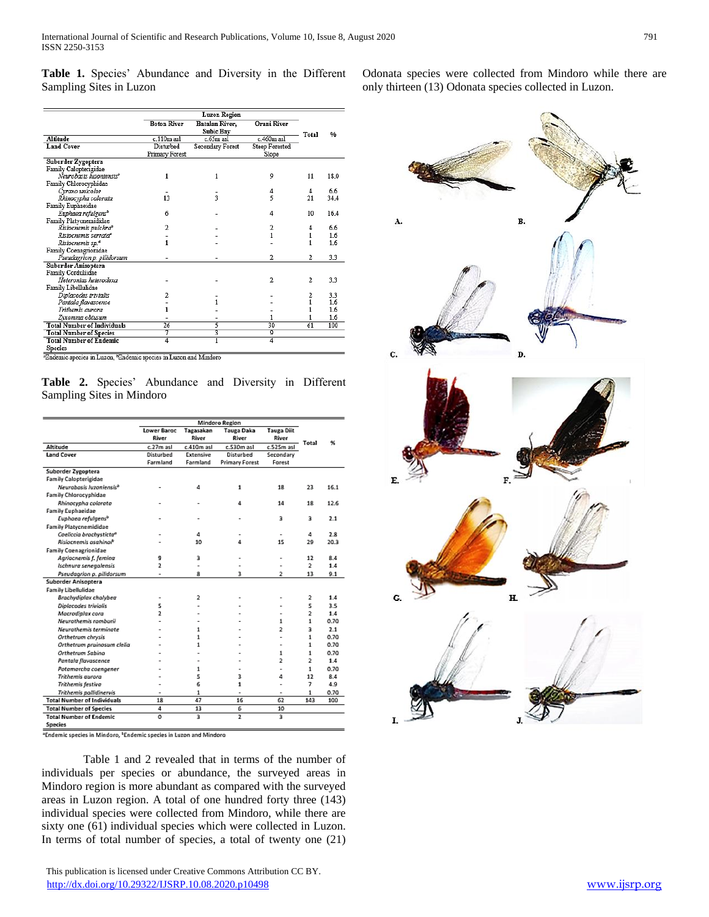**Table 1.** Species' Abundance and Diversity in the Different Sampling Sites in Luzon

|                                                                                    |                    | <b>Luzon Region</b>                |                                    |                |      |
|------------------------------------------------------------------------------------|--------------------|------------------------------------|------------------------------------|----------------|------|
|                                                                                    | <b>Boton River</b> | Batalan River.<br><b>Subic Bay</b> | <b>Orani River</b><br>$c.460m$ asl |                | 0/6  |
| Altitude                                                                           | c.110m asl         | c.65m asl                          |                                    |                |      |
| <b>Land Cover</b>                                                                  | Disturbed          | Secondary Forest                   | <b>Steep Forested</b>              |                |      |
|                                                                                    | Primary Forest     |                                    | Slope                              |                |      |
| Suborder Zygoptera                                                                 |                    |                                    |                                    |                |      |
| Family Calopterigidae                                                              |                    |                                    |                                    |                |      |
| Neurobasis Iuzoniensis <sup>5</sup>                                                | 1                  | 1                                  | 9                                  | 11             | 18.0 |
| Family Chlorocyphidae                                                              |                    |                                    |                                    |                |      |
| Cyrano unicolor                                                                    |                    |                                    | 4                                  | 4              | 6.6  |
| Rhinocypha colorata                                                                | 13                 | 3                                  | 5                                  | 21             | 34.4 |
| Family Euphaeidae                                                                  |                    |                                    |                                    |                |      |
| Euphaea refulgens <sup>b</sup>                                                     | 6                  |                                    | 4                                  | 10             | 16.4 |
| Family Platycnemididae                                                             |                    |                                    |                                    |                |      |
| Risiocnemis pulchra <sup>2</sup>                                                   | $\overline{c}$     |                                    | 2                                  | 4              | 6.6  |
| Risiocnemis serrata <sup>e</sup>                                                   |                    |                                    | $\mathbf{1}$                       | 1              | 1.6  |
| Risiocnemis sp.ª                                                                   | 1                  |                                    |                                    | 1              | 1.6  |
| Family Coenagrionidae                                                              |                    |                                    |                                    |                |      |
| Pseudagrion p. pilidorsum                                                          |                    |                                    | $\overline{a}$                     | $\overline{2}$ | 3.3  |
| Suborder Anisoptera                                                                |                    |                                    |                                    |                |      |
| Family Corduliidae                                                                 |                    |                                    |                                    |                |      |
| Heteronias heterodoxa                                                              |                    |                                    | 2                                  | $\overline{2}$ | 33   |
| Family Libellulidae                                                                |                    |                                    |                                    |                |      |
| Diplacodes trivialis                                                               |                    |                                    |                                    | 2              | 3.3  |
| Pantala flavascence                                                                |                    |                                    |                                    | 1              | 1.6  |
| Trithemis aurora                                                                   | 1                  |                                    |                                    |                | 1.6  |
| Zyxomma obtusum                                                                    |                    |                                    | 1                                  |                | 1.6  |
| <b>Total Number of Individuals</b>                                                 | 26                 | 5                                  | $\overline{30}$                    | 61             | 100  |
| <b>Total Number of Species</b>                                                     | 7                  | 3                                  | 9                                  |                |      |
| <b>Total Number of Endemic</b>                                                     | 4                  | ī                                  | 4                                  |                |      |
|                                                                                    |                    |                                    |                                    |                |      |
| <b>Species</b><br>"Endemic species in Luzon, "Endemic species in Luzon and Mindoro |                    |                                    |                                    |                |      |

**Table 2.** Species' Abundance and Diversity in Different Sampling Sites in Mindoro

|                                     | Mindoro Region     |            |                       |                   |                |      |
|-------------------------------------|--------------------|------------|-----------------------|-------------------|----------------|------|
|                                     | <b>Lower Barge</b> | Tagasakan  | <b>Tauga Daka</b>     | <b>Tauga Diit</b> |                |      |
|                                     | River              | River      | River                 | River             |                |      |
| Altitude                            | c.27m asl          | c.410m asl | c.530m asl            | $c.525m$ as       | Total          | ℁    |
| <b>Land Cover</b>                   | Disturbed          | Extensive  | Disturbed             | Secondary         |                |      |
|                                     | Farmland           | Farmland   | <b>Primary Forest</b> | Farest            |                |      |
| Suborder Zygoptera                  |                    |            |                       |                   |                |      |
| <b>Family Calopterigidae</b>        |                    |            |                       |                   |                |      |
| Neurobasis Iuzoniensis <sup>b</sup> |                    | 4          | 1                     | 18                | 23             | 16.1 |
| <b>Family Chlorocyphidae</b>        |                    |            |                       |                   |                |      |
| Rhinocypha colorata                 |                    |            | 4                     | 14                | 18             | 12.6 |
| <b>Family Euphaeidae</b>            |                    |            |                       |                   |                |      |
| Euphaea refulgens <sup>b</sup>      |                    |            |                       | 3                 | 3              | 2.1  |
| <b>Family Platycnemididae</b>       |                    |            |                       |                   |                |      |
| Coeliccia brachysticta <sup>a</sup> |                    | Δ          |                       |                   | 4              | 2.8  |
| Risiocnemis asahinai <sup>b</sup>   |                    | 10         | 4                     | 15                | 29             | 20.3 |
| <b>Family Coenagrionidae</b>        |                    |            |                       |                   |                |      |
| Agriocnemis f. femina               | g                  | з          |                       | ä,                | 12             | 8.4  |
| Ischnura senegalensis               | 2                  |            |                       |                   | $\overline{2}$ | 14   |
| Pseudagrion p. pilidorsum           | ٠                  | a          | 3                     | 2                 | 13             | 9.1  |
| Suborder Anisoptera                 |                    |            |                       |                   |                |      |
| <b>Family Libellulidae</b>          |                    |            |                       |                   |                |      |
| Brachydiplax chalybea               |                    | 2          |                       |                   | 2              | 1.4  |
| Diolacades trivialis                | 5                  |            |                       |                   | 5              | 3.5  |
| Macrodiplax cora                    | 2                  |            |                       |                   | 2              | 1.4  |
| Neurothemis romburii                |                    |            |                       | 1                 | $\mathbf{1}$   | 0.70 |
| Neurothemis terminate               |                    | 1          |                       | 2                 | з              | 2.1  |
| Orthetrum chrysis                   |                    | 1          |                       |                   | $\mathbf{1}$   | 0.70 |
| Orthetrum pruinosum clelia          |                    | 1.         |                       |                   | $\mathbf{1}$   | 0.70 |
| Orthetrum Sabina                    |                    |            |                       | 1                 | $\mathbf{1}$   | 0.70 |
| Pantala flavascence                 |                    |            |                       | $\overline{2}$    | $\overline{2}$ | 1.4  |
| Potamarcha coengener                |                    | 1          |                       |                   | 1              | 0.70 |
| Trithemis aurora                    |                    | 2          | ı                     | 4                 | 12             | 8.4  |
| Trithemis festiva                   |                    | 6          | 1                     | ٠                 | 7              | 4.9  |
| Trithemis pallidinervis             | ٠                  | 1          | ٠                     | ٠                 | 1              | 0.70 |
| <b>Total Number of Individuals</b>  | 18                 | 47         | 16                    | 62                | 143            | 100  |
| <b>Total Number of Species</b>      | 4                  | 13         | Б                     | 10                |                |      |
| <b>Total Number of Endemic</b>      | ٥                  | 3          | $\overline{2}$        | 3                 |                |      |
| <b>Species</b>                      |                    |            |                       |                   |                |      |

<sup>a</sup>Endemic species in Mindoro, <sup>E</sup>Endemic species in Luzon and Mindoro

Table 1 and 2 revealed that in terms of the number of individuals per species or abundance, the surveyed areas in Mindoro region is more abundant as compared with the surveyed areas in Luzon region. A total of one hundred forty three (143) individual species were collected from Mindoro, while there are sixty one (61) individual species which were collected in Luzon. In terms of total number of species, a total of twenty one (21) Odonata species were collected from Mindoro while there are only thirteen (13) Odonata species collected in Luzon.

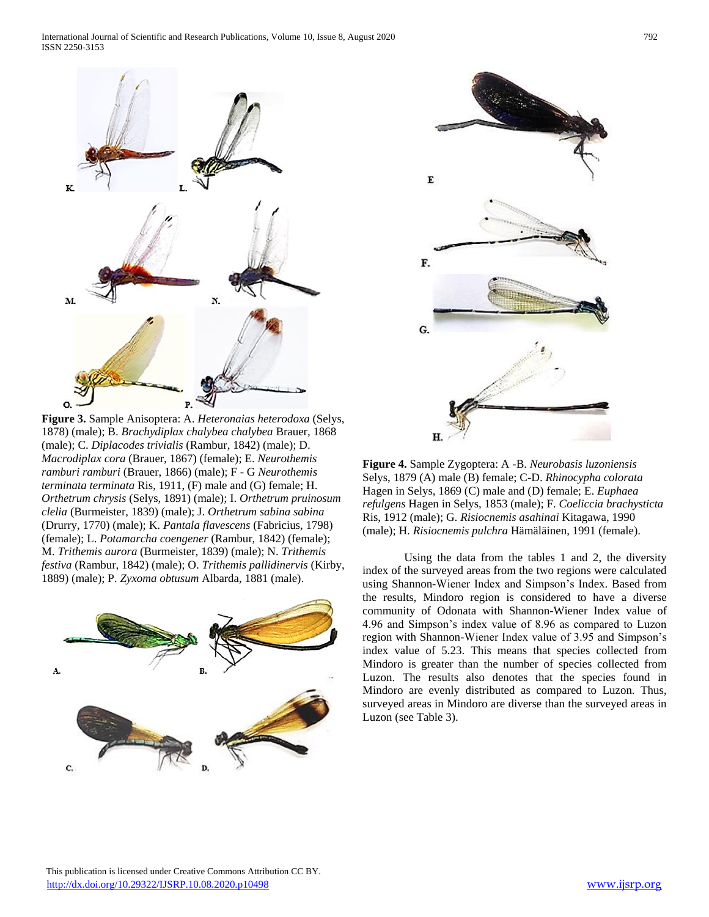

**Figure 3.** Sample Anisoptera: A. *Heteronaias heterodoxa* (Selys, 1878) (male); B. *Brachydiplax chalybea chalybea* Brauer, 1868 (male); C. *Diplacodes trivialis* (Rambur, 1842) (male); D. *Macrodiplax cora* (Brauer, 1867) (female); E. *Neurothemis ramburi ramburi* (Brauer, 1866) (male); F - G *Neurothemis terminata terminata* Ris, 1911, (F) male and (G) female; H. *Orthetrum chrysis* (Selys, 1891) (male); I. *Orthetrum pruinosum clelia* (Burmeister, 1839) (male); J. *Orthetrum sabina sabina* (Drurry, 1770) (male); K. *Pantala flavescens* (Fabricius, 1798) (female); L. *Potamarcha coengener* (Rambur, 1842) (female); M. *Trithemis aurora* (Burmeister, 1839) (male); N. *Trithemis festiva* (Rambur, 1842) (male); O. *Trithemis pallidinervis* (Kirby, 1889) (male); P. *Zyxoma obtusum* Albarda, 1881 (male).





**Figure 4.** Sample Zygoptera: A -B. *Neurobasis luzoniensis* Selys, 1879 (A) male (B) female; C-D. *Rhinocypha colorata* Hagen in Selys, 1869 (C) male and (D) female; E. *Euphaea refulgens* Hagen in Selys, 1853 (male); F. *Coeliccia brachysticta* Ris, 1912 (male); G. *Risiocnemis asahinai* Kitagawa, 1990 (male); H. *Risiocnemis pulchra* Hämäläinen, 1991 (female).

Using the data from the tables 1 and 2, the diversity index of the surveyed areas from the two regions were calculated using Shannon-Wiener Index and Simpson's Index. Based from the results, Mindoro region is considered to have a diverse community of Odonata with Shannon-Wiener Index value of 4.96 and Simpson's index value of 8.96 as compared to Luzon region with Shannon-Wiener Index value of 3.95 and Simpson's index value of 5.23. This means that species collected from Mindoro is greater than the number of species collected from Luzon. The results also denotes that the species found in Mindoro are evenly distributed as compared to Luzon. Thus, surveyed areas in Mindoro are diverse than the surveyed areas in Luzon (see Table 3).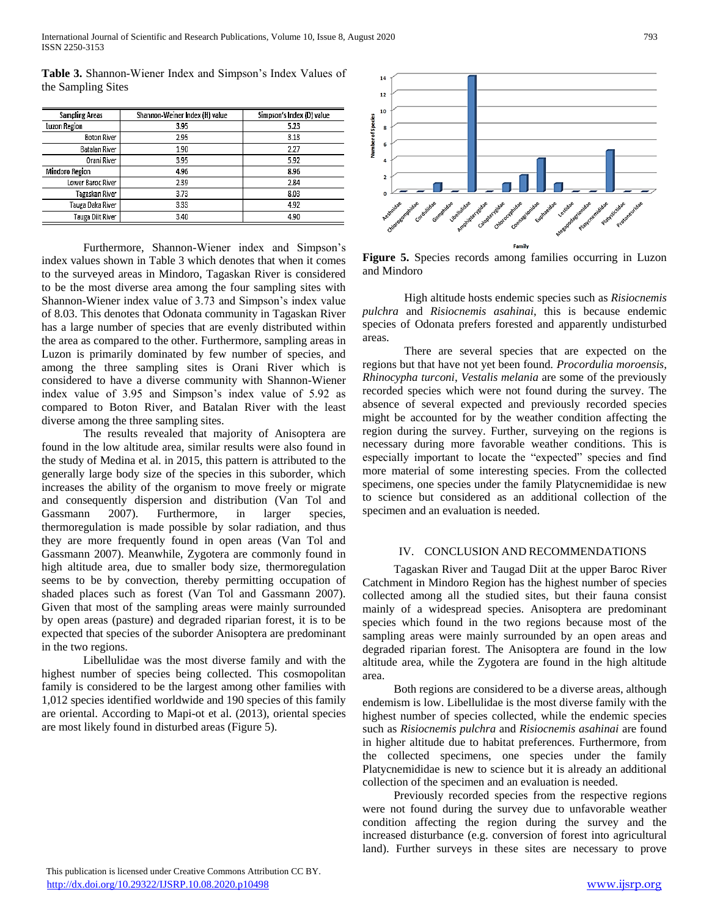International Journal of Scientific and Research Publications, Volume 10, Issue 8, August 2020 793 ISSN 2250-3153

| <b>Sampling Areas</b> | Shannon-Weiner Index (H) value | Simpson's Index (D) value |  |  |
|-----------------------|--------------------------------|---------------------------|--|--|
| Luzon Region          | 3.95                           | 5.23                      |  |  |
| <b>Boton River</b>    | 2.95                           | 3.13                      |  |  |
| Batalan River         | 1.90                           | 2.27                      |  |  |
| Orani River           | 3.95                           | 5.92                      |  |  |
| Mindoro Region        | 4.96                           | 8.96                      |  |  |
| Lower Baroc River     | 2.39                           | 2.84                      |  |  |
| Tagaskan River        | 3.73                           | 8.03                      |  |  |
| Tauga Daka River      | 3.33                           | 4.92                      |  |  |
| Tauga Diit River      | 3.40                           | 4.90                      |  |  |

**Table 3.** Shannon-Wiener Index and Simpson's Index Values of the Sampling Sites

Furthermore, Shannon-Wiener index and Simpson's index values shown in Table 3 which denotes that when it comes to the surveyed areas in Mindoro, Tagaskan River is considered to be the most diverse area among the four sampling sites with Shannon-Wiener index value of 3.73 and Simpson's index value of 8.03. This denotes that Odonata community in Tagaskan River has a large number of species that are evenly distributed within the area as compared to the other. Furthermore, sampling areas in Luzon is primarily dominated by few number of species, and among the three sampling sites is Orani River which is considered to have a diverse community with Shannon-Wiener index value of 3.95 and Simpson's index value of 5.92 as compared to Boton River, and Batalan River with the least diverse among the three sampling sites.

The results revealed that majority of Anisoptera are found in the low altitude area, similar results were also found in the study of Medina et al. in 2015, this pattern is attributed to the generally large body size of the species in this suborder, which increases the ability of the organism to move freely or migrate and consequently dispersion and distribution (Van Tol and Gassmann 2007). Furthermore, in larger species, thermoregulation is made possible by solar radiation, and thus they are more frequently found in open areas (Van Tol and Gassmann 2007). Meanwhile, Zygotera are commonly found in high altitude area, due to smaller body size, thermoregulation seems to be by convection, thereby permitting occupation of shaded places such as forest (Van Tol and Gassmann 2007). Given that most of the sampling areas were mainly surrounded by open areas (pasture) and degraded riparian forest, it is to be expected that species of the suborder Anisoptera are predominant in the two regions.

Libellulidae was the most diverse family and with the highest number of species being collected. This cosmopolitan family is considered to be the largest among other families with 1,012 species identified worldwide and 190 species of this family are oriental. According to Mapi-ot et al. (2013), oriental species are most likely found in disturbed areas (Figure 5).



**Figure 5.** Species records among families occurring in Luzon and Mindoro

High altitude hosts endemic species such as *Risiocnemis pulchra* and *Risiocnemis asahinai*, this is because endemic species of Odonata prefers forested and apparently undisturbed areas.

There are several species that are expected on the regions but that have not yet been found. *Procordulia moroensis*, *Rhinocypha turconi*, *Vestalis melania* are some of the previously recorded species which were not found during the survey. The absence of several expected and previously recorded species might be accounted for by the weather condition affecting the region during the survey. Further, surveying on the regions is necessary during more favorable weather conditions. This is especially important to locate the "expected" species and find more material of some interesting species. From the collected specimens, one species under the family Platycnemididae is new to science but considered as an additional collection of the specimen and an evaluation is needed.

#### IV. CONCLUSION AND RECOMMENDATIONS

Tagaskan River and Taugad Diit at the upper Baroc River Catchment in Mindoro Region has the highest number of species collected among all the studied sites, but their fauna consist mainly of a widespread species. Anisoptera are predominant species which found in the two regions because most of the sampling areas were mainly surrounded by an open areas and degraded riparian forest. The Anisoptera are found in the low altitude area, while the Zygotera are found in the high altitude area.

Both regions are considered to be a diverse areas, although endemism is low. Libellulidae is the most diverse family with the highest number of species collected, while the endemic species such as *Risiocnemis pulchra* and *Risiocnemis asahinai* are found in higher altitude due to habitat preferences. Furthermore, from the collected specimens, one species under the family Platycnemididae is new to science but it is already an additional collection of the specimen and an evaluation is needed.

Previously recorded species from the respective regions were not found during the survey due to unfavorable weather condition affecting the region during the survey and the increased disturbance (e.g. conversion of forest into agricultural land). Further surveys in these sites are necessary to prove